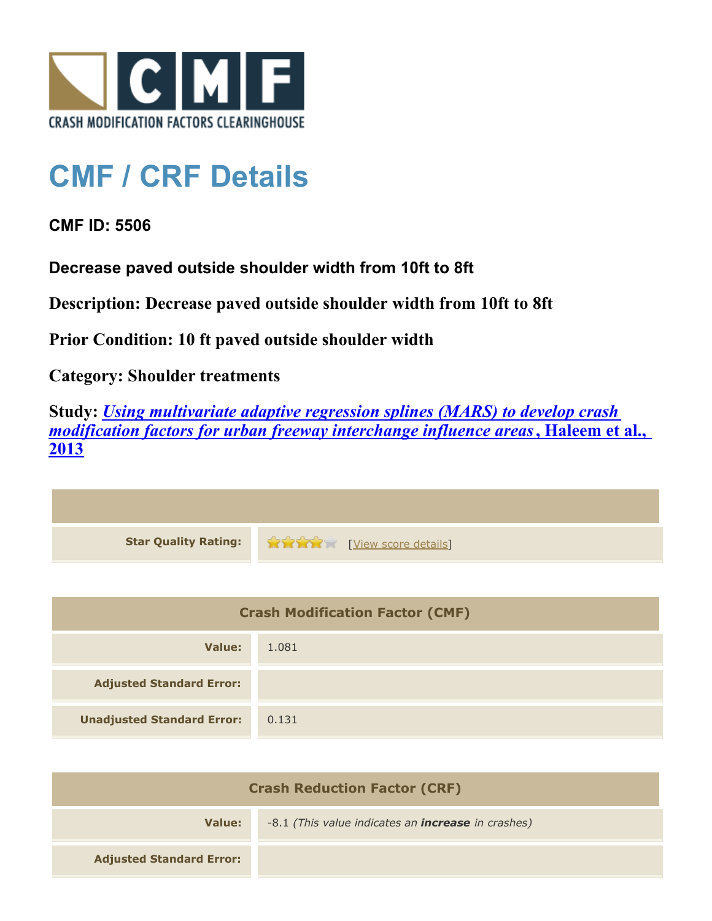

## **CMF / CRF Details**

**CMF ID: 5506**

**Decrease paved outside shoulder width from 10ft to 8ft**

**Description: Decrease paved outside shoulder width from 10ft to 8ft**

**Prior Condition: 10 ft paved outside shoulder width**

**Category: Shoulder treatments**

**Study:** *[Using multivariate adaptive regression splines \(MARS\) to develop crash](http://www.cmfclearinghouse.org/study_detail.cfm?stid=351) [modification factors for urban freeway interchange influence areas](http://www.cmfclearinghouse.org/study_detail.cfm?stid=351)***[, Haleem et al.,](http://www.cmfclearinghouse.org/study_detail.cfm?stid=351) [2013](http://www.cmfclearinghouse.org/study_detail.cfm?stid=351)**

| <b>Star Quality Rating:</b> | <b>THE EXAMPLE EXAMPLE IN THE EXAMPLE ENGINEERING</b> |
|-----------------------------|-------------------------------------------------------|

| <b>Crash Modification Factor (CMF)</b> |       |
|----------------------------------------|-------|
| Value:                                 | 1.081 |
| <b>Adjusted Standard Error:</b>        |       |
| <b>Unadjusted Standard Error:</b>      | 0.131 |

| <b>Crash Reduction Factor (CRF)</b> |                                                           |
|-------------------------------------|-----------------------------------------------------------|
| Value:                              | -8.1 (This value indicates an <b>increase</b> in crashes) |
| <b>Adjusted Standard Error:</b>     |                                                           |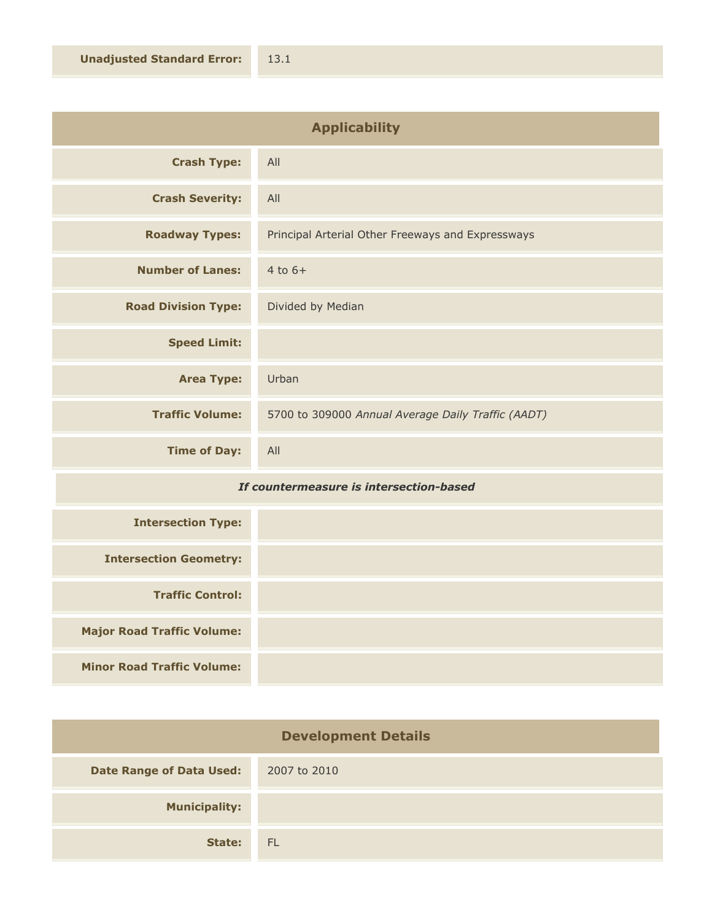| <b>Applicability</b>       |                                                    |
|----------------------------|----------------------------------------------------|
| <b>Crash Type:</b>         | All                                                |
| <b>Crash Severity:</b>     | All                                                |
| <b>Roadway Types:</b>      | Principal Arterial Other Freeways and Expressways  |
| <b>Number of Lanes:</b>    | $4$ to $6+$                                        |
| <b>Road Division Type:</b> | Divided by Median                                  |
| <b>Speed Limit:</b>        |                                                    |
| <b>Area Type:</b>          | Urban                                              |
| <b>Traffic Volume:</b>     | 5700 to 309000 Annual Average Daily Traffic (AADT) |
| <b>Time of Day:</b>        | All                                                |

## *If countermeasure is intersection-based*

| <b>Intersection Type:</b>         |  |
|-----------------------------------|--|
| <b>Intersection Geometry:</b>     |  |
| <b>Traffic Control:</b>           |  |
| <b>Major Road Traffic Volume:</b> |  |
| <b>Minor Road Traffic Volume:</b> |  |

| <b>Development Details</b>      |              |
|---------------------------------|--------------|
| <b>Date Range of Data Used:</b> | 2007 to 2010 |
| <b>Municipality:</b>            |              |
| State:                          | <b>FL</b>    |